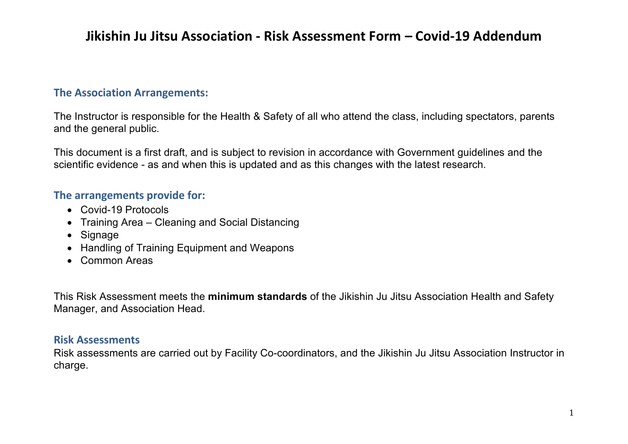### **The Association Arrangements:**

The Instructor is responsible for the Health & Safety of all who attend the class, including spectators, parents and the general public.

This document is a first draft, and is subject to revision in accordance with Government guidelines and the scientific evidence - as and when this is updated and as this changes with the latest research.

### **The arrangements provide for:**

- Covid-19 Protocols
- Training Area Cleaning and Social Distancing
- Signage
- Handling of Training Equipment and Weapons
- Common Areas

This Risk Assessment meets the **minimum standards** of the Jikishin Ju Jitsu Association Health and Safety Manager, and Association Head.

### **Risk Assessments**

Risk assessments are carried out by Facility Co-coordinators, and the Jikishin Ju Jitsu Association Instructor in charge.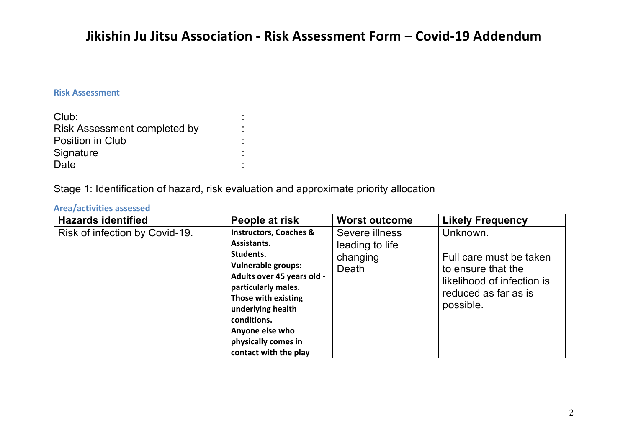#### **Risk Assessment**

| Club:                               |  |
|-------------------------------------|--|
| <b>Risk Assessment completed by</b> |  |
| Position in Club                    |  |
| Signature                           |  |
| Date                                |  |

Stage 1: Identification of hazard, risk evaluation and approximate priority allocation

#### **Area/activities assessed**

| <b>Hazards identified</b>      | People at risk                                                                                                                                                                                                                                                                | <b>Worst outcome</b>                                   | <b>Likely Frequency</b>                                                                                                      |
|--------------------------------|-------------------------------------------------------------------------------------------------------------------------------------------------------------------------------------------------------------------------------------------------------------------------------|--------------------------------------------------------|------------------------------------------------------------------------------------------------------------------------------|
| Risk of infection by Covid-19. | <b>Instructors, Coaches &amp;</b><br>Assistants.<br>Students.<br><b>Vulnerable groups:</b><br>Adults over 45 years old -<br>particularly males.<br>Those with existing<br>underlying health<br>conditions.<br>Anyone else who<br>physically comes in<br>contact with the play | Severe illness<br>leading to life<br>changing<br>Death | Unknown.<br>Full care must be taken<br>to ensure that the<br>likelihood of infection is<br>reduced as far as is<br>possible. |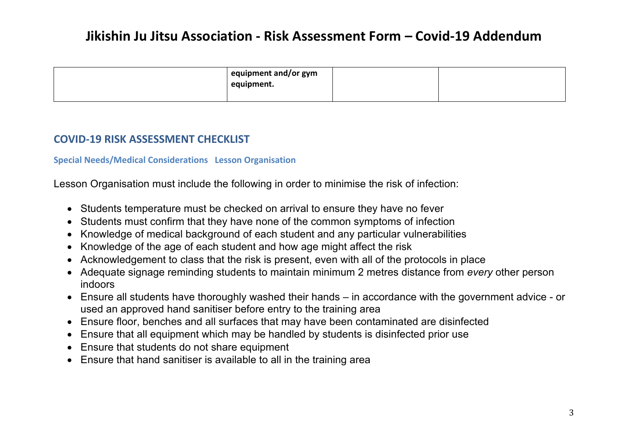| equipment and/or gym<br>equipment. |  |
|------------------------------------|--|
|                                    |  |

### **COVID-19 RISK ASSESSMENT CHECKLIST**

#### **Special Needs/Medical Considerations Lesson Organisation**

Lesson Organisation must include the following in order to minimise the risk of infection:

- Students temperature must be checked on arrival to ensure they have no fever
- Students must confirm that they have none of the common symptoms of infection
- Knowledge of medical background of each student and any particular vulnerabilities
- Knowledge of the age of each student and how age might affect the risk
- Acknowledgement to class that the risk is present, even with all of the protocols in place
- Adequate signage reminding students to maintain minimum 2 metres distance from *every* other person indoors
- Ensure all students have thoroughly washed their hands in accordance with the government advice or used an approved hand sanitiser before entry to the training area
- Ensure floor, benches and all surfaces that may have been contaminated are disinfected
- Ensure that all equipment which may be handled by students is disinfected prior use
- Ensure that students do not share equipment
- Ensure that hand sanitiser is available to all in the training area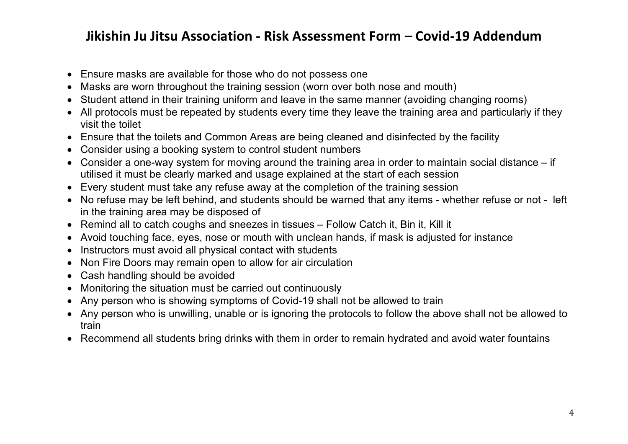- Ensure masks are available for those who do not possess one
- Masks are worn throughout the training session (worn over both nose and mouth)
- Student attend in their training uniform and leave in the same manner (avoiding changing rooms)
- All protocols must be repeated by students every time they leave the training area and particularly if they visit the toilet
- Ensure that the toilets and Common Areas are being cleaned and disinfected by the facility
- Consider using a booking system to control student numbers
- Consider a one-way system for moving around the training area in order to maintain social distance if utilised it must be clearly marked and usage explained at the start of each session
- Every student must take any refuse away at the completion of the training session
- No refuse may be left behind, and students should be warned that any items whether refuse or not left in the training area may be disposed of
- Remind all to catch coughs and sneezes in tissues Follow Catch it, Bin it, Kill it
- Avoid touching face, eyes, nose or mouth with unclean hands, if mask is adjusted for instance
- Instructors must avoid all physical contact with students
- Non Fire Doors may remain open to allow for air circulation
- Cash handling should be avoided
- Monitoring the situation must be carried out continuously
- Any person who is showing symptoms of Covid-19 shall not be allowed to train
- Any person who is unwilling, unable or is ignoring the protocols to follow the above shall not be allowed to train
- Recommend all students bring drinks with them in order to remain hydrated and avoid water fountains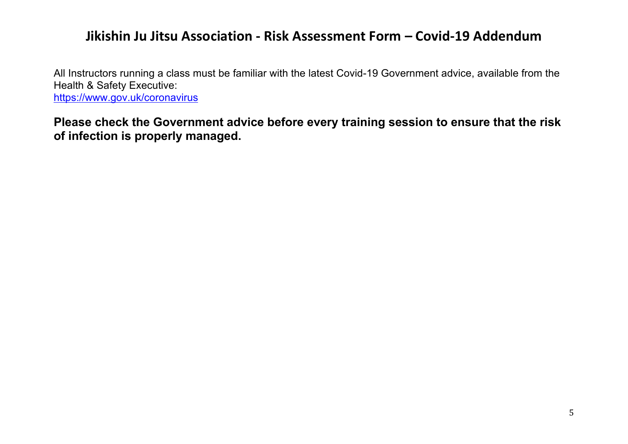All Instructors running a class must be familiar with the latest Covid-19 Government advice, available from the Health & Safety Executive: https://www.gov.uk/coronavirus

**Please check the Government advice before every training session to ensure that the risk of infection is properly managed.**